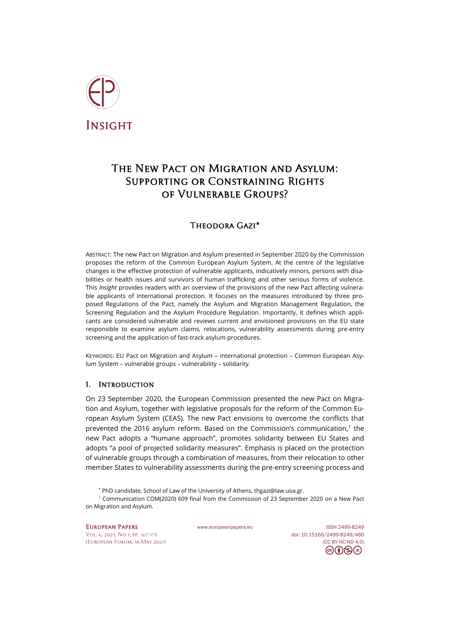

# The New Pact on Migration and Asylum: SUPPORTING OR CONSTRAINING RIGHTS of Vulnerable Groups?

# Theodora Gazi[\\*](#page-0-0)

ABSTRACT: The new Pact on Migration and Asylum presented in September 2020 by the Commission proposes the reform of the Common European Asylum System. At the centre of the legislative changes is the effective protection of vulnerable applicants, indicatively minors, persons with disabilities or health issues and survivors of human trafficking and other serious forms of violence. This *Insight* provides readers with an overview of the provisions of the new Pact affecting vulnerable applicants of international protection. It focuses on the measures introduced by three proposed Regulations of the Pact, namely the Asylum and Migration Management Regulation, the Screening Regulation and the Asylum Procedure Regulation. Importantly, it defines which applicants are considered vulnerable and reviews current and envisioned provisions on the EU state responsible to examine asylum claims, relocations, vulnerability assessments during pre-entry screening and the application of fast-track asylum procedures.

KEYWORDS: EU Pact on Migration and Asylum – international protection – Common European Asylum System – vulnerable groups – vulnerability – solidarity.

## I. Introduction

On 23 September 2020, the European Commission presented the new Pact on Migration and Asylum, together with legislative proposals for the reform of the Common European Asylum System (CEAS). The new Pact envisions to overcome the conflicts that prevented the 2016 asylum reform. Based on the Commission's communication, [1](#page-0-1) the new Pact adopts a "humane approach", promotes solidarity between EU States and adopts "a pool of projected solidarity measures". Emphasis is placed on the protection of vulnerable groups through a combination of measures, from their relocation to other member States to vulnerability assessments during the pre-entry screening process and

\* PhD candidate, School of Law of the University of Athens, [thgazi@law.uoa.gr.](mailto:thgazi@law.uoa.gr)

<span id="page-0-1"></span><span id="page-0-0"></span><sup>1</sup> Communication COM(2020) 609 final from the Commission of 23 September 2020 on a New Pact on Migration and Asylum.

[Vol. 6, 2021, No 1,](https://www.europeanpapers.eu/en/content/e-journal/EP_eJ_2021_1) pp. 167-175 doi[: 10.15166/2499-8249/460](https://search.datacite.org/works/10.15166/2499-8249/460) [\(European](http://www.europeanpapers.eu/en/content/european-forum) Forum, 18 May 2021) [\(CC BY-NC-ND 4.0\)](https://creativecommons.org/licenses/by-nc-nd/4.0/)

European Papers [www.europeanpapers.eu](http://www.europeanpapers.eu/) ISS[N 2499-8249](https://search.datacite.org/works?query=www.europeanpapers.eu)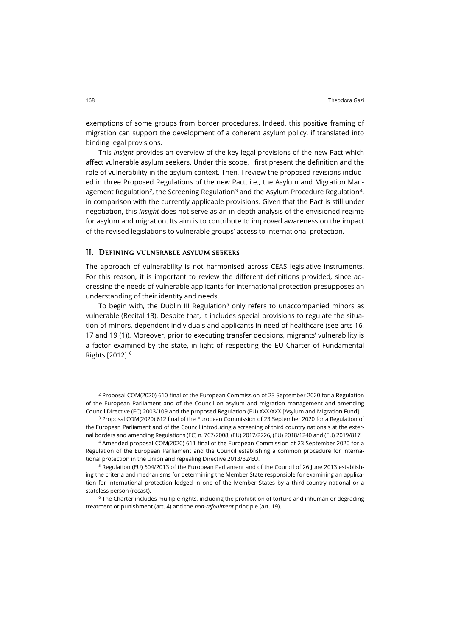exemptions of some groups from border procedures. Indeed, this positive framing of migration can support the development of a coherent asylum policy, if translated into binding legal provisions.

This *Insight* provides an overview of the key legal provisions of the new Pact which affect vulnerable asylum seekers. Under this scope, I first present the definition and the role of vulnerability in the asylum context. Then, I review the proposed revisions included in three Proposed Regulations of the new Pact, i.e., the Asylum and Migration Man-agement Regulation<sup>2</sup>, the Screening Regulation<sup>[3](#page-1-1)</sup> and the Asylum Procedure Regulation<sup>[4](#page-1-2)</sup>, in comparison with the currently applicable provisions. Given that the Pact is still under negotiation, this *Insight* does not serve as an in-depth analysis of the envisioned regime for asylum and migration. Its aim is to contribute to improved awareness on the impact of the revised legislations to vulnerable groups' access to international protection.

#### II. Defining vulnerable asylum seekers

The approach of vulnerability is not harmonised across CEAS legislative instruments. For this reason, it is important to review the different definitions provided, since addressing the needs of vulnerable applicants for international protection presupposes an understanding of their identity and needs.

To begin with, the Dublin III Regulation<sup>[5](#page-1-3)</sup> only refers to unaccompanied minors as vulnerable (Recital 13). Despite that, it includes special provisions to regulate the situation of minors, dependent individuals and applicants in need of healthcare (see arts 16, 17 and 19 (1)). Moreover, prior to executing transfer decisions, migrants' vulnerability is a factor examined by the state, in light of respecting the EU Charter of Fundamental Rights [2012].[6](#page-1-4)

<span id="page-1-0"></span><sup>2</sup> Proposal COM(2020) 610 final of the European Commission of 23 September 2020 for a Regulation of the European Parliament and of the Council on asylum and migration management and amending Council Directive (EC) 2003/109 and the proposed Regulation (EU) XXX/XXX [Asylum and Migration Fund].

<span id="page-1-1"></span><sup>3</sup> Proposal COM(2020) 612 final of the European Commission of 23 September 2020 for a Regulation of the European Parliament and of the Council introducing a screening of third country nationals at the external borders and amending Regulations (EC) n. 767/2008, (EU) 2017/2226, (EU) 2018/1240 and (EU) 2019/817.

<span id="page-1-2"></span><sup>4</sup> Amended proposal COM(2020) 611 final of the European Commission of 23 September 2020 for a Regulation of the European Parliament and the Council establishing a common procedure for international protection in the Union and repealing Directive 2013/32/EU.

<span id="page-1-3"></span><sup>5</sup> Regulation (EU) 604/2013 of the European Parliament and of the Council of 26 June 2013 establishing the criteria and mechanisms for determining the Member State responsible for examining an application for international protection lodged in one of the Member States by a third-country national or a stateless person (recast).

<span id="page-1-4"></span><sup>6</sup> The Charter includes multiple rights, including the prohibition of torture and inhuman or degrading treatment or punishment (art. 4) and the *non-refoulment* principle (art. 19).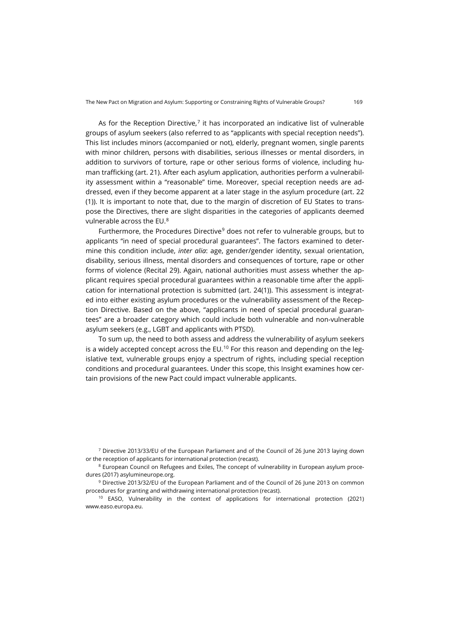As for the Reception Directive, $7$  it has incorporated an indicative list of vulnerable groups of asylum seekers (also referred to as "applicants with special reception needs"). This list includes minors (accompanied or not), elderly, pregnant women, single parents with minor children, persons with disabilities, serious illnesses or mental disorders, in addition to survivors of torture, rape or other serious forms of violence, including human trafficking (art. 21). After each asylum application, authorities perform a vulnerability assessment within a "reasonable" time. Moreover, special reception needs are addressed, even if they become apparent at a later stage in the asylum procedure (art. 22 (1)). It is important to note that, due to the margin of discretion of EU States to transpose the Directives, there are slight disparities in the categories of applicants deemed vulnerable across the EU.[8](#page-2-1)

Furthermore, the Procedures Directive<sup>[9](#page-2-2)</sup> does not refer to vulnerable groups, but to applicants "in need of special procedural guarantees". The factors examined to determine this condition include, *inter alia*: age, gender/gender identity, sexual orientation, disability, serious illness, mental disorders and consequences of torture, rape or other forms of violence (Recital 29). Again, national authorities must assess whether the applicant requires special procedural guarantees within a reasonable time after the application for international protection is submitted (art. 24(1)). This assessment is integrated into either existing asylum procedures or the vulnerability assessment of the Reception Directive. Based on the above, "applicants in need of special procedural guarantees" are a broader category which could include both vulnerable and non-vulnerable asylum seekers (e.g., LGBT and applicants with PTSD).

To sum up, the need to both assess and address the vulnerability of asylum seekers is a widely accepted concept across the  $EU$ .<sup>[10](#page-2-3)</sup> For this reason and depending on the legislative text, vulnerable groups enjoy a spectrum of rights, including special reception conditions and procedural guarantees. Under this scope, this Insight examines how certain provisions of the new Pact could impact vulnerable applicants.

<span id="page-2-0"></span><sup>7</sup> Directive 2013/33/EU of the European Parliament and of the Council of 26 June 2013 laying down or the reception of applicants for international protection (recast).

<span id="page-2-1"></span><sup>8</sup> European Council on Refugees and Exiles, The concept of vulnerability in European asylum procedures (2017[\) asylumineurope.org.](https://asylumineurope.org/wp-content/uploads/2020/11/aida_vulnerability_in_asylum_procedures.pdf)

<span id="page-2-2"></span><sup>9</sup> Directive 2013/32/EU of the European Parliament and of the Council of 26 June 2013 on common procedures for granting and withdrawing international protection (recast).

<span id="page-2-3"></span><sup>10</sup> EASO, Vulnerability in the context of applications for international protection (2021) [www.easo.europa.eu.](https://www.easo.europa.eu/sites/default/files/Vulnerability_JA_EN.pdf)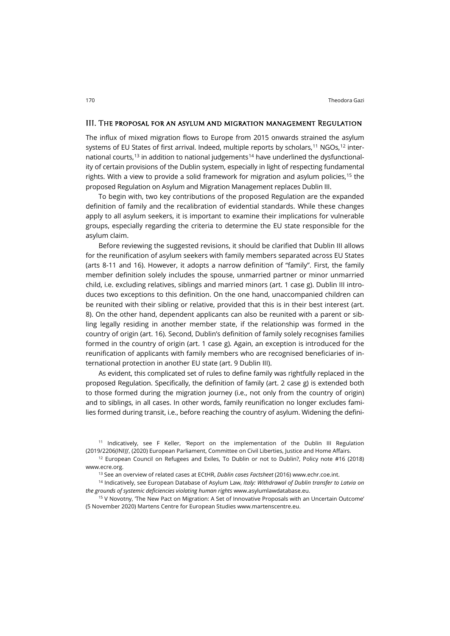#### III. The proposal for an asylum and migration management Regulation

The influx of mixed migration flows to Europe from 2015 onwards strained the asylum systems of EU States of first arrival. Indeed, multiple reports by scholars, $^{\rm 11}$  $^{\rm 11}$  $^{\rm 11}$  NGOs, $^{\rm 12}$  $^{\rm 12}$  $^{\rm 12}$  inter-national courts,<sup>[13](#page-3-2)</sup> in addition to national judgements<sup>[14](#page-3-3)</sup> have underlined the dysfunctionality of certain provisions of the Dublin system, especially in light of respecting fundamental rights. With a view to provide a solid framework for migration and asylum policies, [15](#page-3-4) the proposed Regulation on Asylum and Migration Management replaces Dublin III.

To begin with, two key contributions of the proposed Regulation are the expanded definition of family and the recalibration of evidential standards. While these changes apply to all asylum seekers, it is important to examine their implications for vulnerable groups, especially regarding the criteria to determine the EU state responsible for the asylum claim.

Before reviewing the suggested revisions, it should be clarified that Dublin III allows for the reunification of asylum seekers with family members separated across EU States (arts 8-11 and 16). However, it adopts a narrow definition of "family". First, the family member definition solely includes the spouse, unmarried partner or minor unmarried child, i.e. excluding relatives, siblings and married minors (art. 1 case g). Dublin III introduces two exceptions to this definition. On the one hand, unaccompanied children can be reunited with their sibling or relative, provided that this is in their best interest (art. 8). On the other hand, dependent applicants can also be reunited with a parent or sibling legally residing in another member state, if the relationship was formed in the country of origin (art. 16). Second, Dublin's definition of family solely recognises families formed in the country of origin (art. 1 case g). Again, an exception is introduced for the reunification of applicants with family members who are recognised beneficiaries of international protection in another EU state (art. 9 Dublin III).

As evident, this complicated set of rules to define family was rightfully replaced in the proposed Regulation. Specifically, the definition of family (art. 2 case g) is extended both to those formed during the migration journey (i.e., not only from the country of origin) and to siblings, in all cases. In other words, family reunification no longer excludes families formed during transit, i.e., before reaching the country of asylum. Widening the defini-

<span id="page-3-0"></span><sup>11</sup> Indicatively, see F Keller, 'Report on the implementation of the Dublin III Regulation (2019/2206(INI))', (2020) European Parliament, Committee on Civil Liberties, Justice and Home Affairs.

<sup>13</sup> See an overview of related cases at ECtHR, *Dublin cases Factsheet* (2016[\) www.echr.coe.int.](http://www.echr.coe.int/Documents/FS_Dublin_ENG.pdf)

<span id="page-3-3"></span><span id="page-3-2"></span><sup>14</sup> Indicatively, see European Database of Asylum Law, *Italy: Withdrawal of Dublin transfer to Latvia on the grounds of systemic deficiencies violating human rights* [www.asylumlawdatabase.eu.](https://www.asylumlawdatabase.eu/en/content/italy-withdrawal-dublin-transfer-latvia-grounds-systemic-deficiencies-violating-human-rights)

<span id="page-3-4"></span><sup>15</sup> V Novotny, 'The New Pact on Migration: A Set of Innovative Proposals with an Uncertain Outcome' (5 November 2020) Martens Centre for European Studies [www.martenscentre.eu.](https://www.martenscentre.eu/publication/the-new-pact-on-migration-a-set-of-innovative-proposals-with-an-uncertain-outcome/)

<span id="page-3-1"></span><sup>12</sup> European Council on Refugees and Exiles, To Dublin or not to Dublin?, Policy note #16 (2018) [www.ecre.org.](https://www.ecre.org/wp-content/uploads/2018/11/Policy-Note-16.pdf)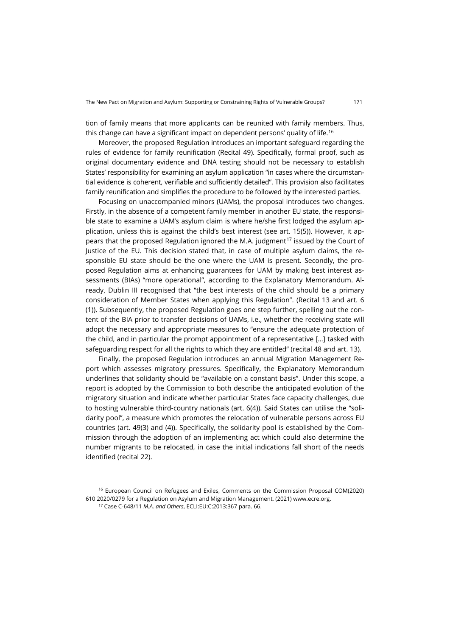tion of family means that more applicants can be reunited with family members. Thus, this change can have a significant impact on dependent persons' quality of life. [16](#page-4-0)

Moreover, the proposed Regulation introduces an important safeguard regarding the rules of evidence for family reunification (Recital 49). Specifically, formal proof, such as original documentary evidence and DNA testing should not be necessary to establish States' responsibility for examining an asylum application "in cases where the circumstantial evidence is coherent, verifiable and sufficiently detailed". This provision also facilitates family reunification and simplifies the procedure to be followed by the interested parties.

Focusing on unaccompanied minors (UAMs), the proposal introduces two changes. Firstly, in the absence of a competent family member in another EU state, the responsible state to examine a UAM's asylum claim is where he/she first lodged the asylum application, unless this is against the child's best interest (see art. 15(5)). However, it ap-pears that the proposed Regulation ignored the M.A. judgment<sup>[17](#page-4-1)</sup> issued by the Court of Justice of the EU. This decision stated that, in case of multiple asylum claims, the responsible EU state should be the one where the UAM is present. Secondly, the proposed Regulation aims at enhancing guarantees for UAM by making best interest assessments (BIAs) "more operational", according to the Explanatory Memorandum. Already, Dublin III recognised that "the best interests of the child should be a primary consideration of Member States when applying this Regulation". (Recital 13 and art. 6 (1)). Subsequently, the proposed Regulation goes one step further, spelling out the content of the BIA prior to transfer decisions of UAMs, i.e., whether the receiving state will adopt the necessary and appropriate measures to "ensure the adequate protection of the child, and in particular the prompt appointment of a representative […] tasked with safeguarding respect for all the rights to which they are entitled" (recital 48 and art. 13).

Finally, the proposed Regulation introduces an annual Migration Management Report which assesses migratory pressures. Specifically, the Explanatory Memorandum underlines that solidarity should be "available on a constant basis". Under this scope, a report is adopted by the Commission to both describe the anticipated evolution of the migratory situation and indicate whether particular States face capacity challenges, due to hosting vulnerable third-country nationals (art. 6(4)). Said States can utilise the "solidarity pool", a measure which promotes the relocation of vulnerable persons across EU countries (art. 49(3) and (4)). Specifically, the solidarity pool is established by the Commission through the adoption of an implementing act which could also determine the number migrants to be relocated, in case the initial indications fall short of the needs identified (recital 22).

<span id="page-4-1"></span><span id="page-4-0"></span><sup>16</sup> European Council on Refugees and Exiles, Comments on the Commission Proposal COM(2020) 610 2020/0279 for a Regulation on Asylum and Migration Management, (2021[\) www.ecre.org.](https://www.ecre.org/wp-content/uploads/2021/03/ECRE-Comments-RAMM.pdf)

<sup>17</sup> Case C-648/11 *M.A. and Others*, ECLI:EU:C:2013:367 para. 66.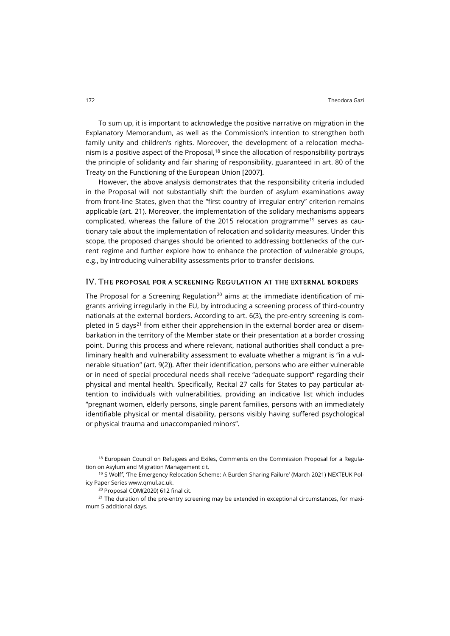To sum up, it is important to acknowledge the positive narrative on migration in the Explanatory Memorandum, as well as the Commission's intention to strengthen both family unity and children's rights. Moreover, the development of a relocation mechanism is a positive aspect of the Proposal, [18](#page-5-0) since the allocation of responsibility portrays the principle of solidarity and fair sharing of responsibility, guaranteed in art. 80 of the Treaty on the Functioning of the European Union [2007].

However, the above analysis demonstrates that the responsibility criteria included in the Proposal will not substantially shift the burden of asylum examinations away from front-line States, given that the "first country of irregular entry" criterion remains applicable (art. 21). Moreover, the implementation of the solidary mechanisms appears complicated, whereas the failure of the 2015 relocation programme<sup>[19](#page-5-1)</sup> serves as cautionary tale about the implementation of relocation and solidarity measures. Under this scope, the proposed changes should be oriented to addressing bottlenecks of the current regime and further explore how to enhance the protection of vulnerable groups, e.g., by introducing vulnerability assessments prior to transfer decisions.

#### IV. The proposal for a screening Regulation at the external borders

The Proposal for a Screening Regulation<sup>[20](#page-5-2)</sup> aims at the immediate identification of migrants arriving irregularly in the EU, by introducing a screening process of third-country nationals at the external borders. According to art. 6(3), the pre-entry screening is com-pleted in 5 days<sup>[21](#page-5-3)</sup> from either their apprehension in the external border area or disembarkation in the territory of the Member state or their presentation at a border crossing point. During this process and where relevant, national authorities shall conduct a preliminary health and vulnerability assessment to evaluate whether a migrant is "in a vulnerable situation" (art. 9(2)). After their identification, persons who are either vulnerable or in need of special procedural needs shall receive "adequate support" regarding their physical and mental health. Specifically, Recital 27 calls for States to pay particular attention to individuals with vulnerabilities, providing an indicative list which includes "pregnant women, elderly persons, single parent families, persons with an immediately identifiable physical or mental disability, persons visibly having suffered psychological or physical trauma and unaccompanied minors".

<span id="page-5-0"></span> $18$  European Council on Refugees and Exiles, Comments on the Commission Proposal for a Regulation on Asylum and Migration Management cit.

<span id="page-5-1"></span><sup>19</sup> S Wolff, 'The Emergency Relocation Scheme: A Burden Sharing Failure' (March 2021) NEXTEUK Policy Paper Serie[s www.qmul.ac.uk.](https://www.qmul.ac.uk/nexteuk/media/nexteuk/documents/NEXTEUK-Griffin-MAR21-(Fusionn%C3%83%C2%A9)-copie.pdf)

<sup>20</sup> Proposal COM(2020) 612 final cit.

<span id="page-5-3"></span><span id="page-5-2"></span><sup>21</sup> The duration of the pre-entry screening may be extended in exceptional circumstances, for maximum 5 additional days.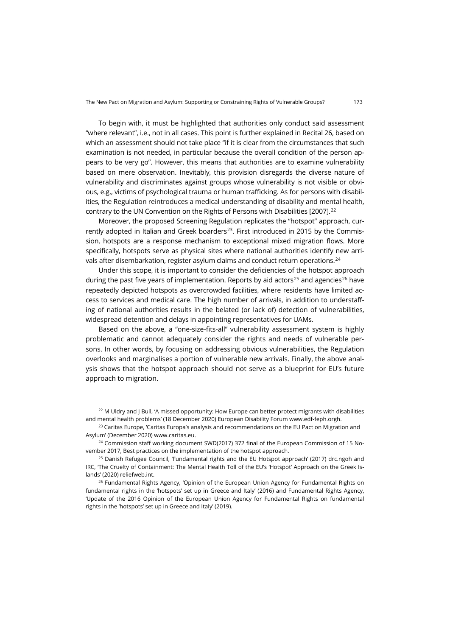To begin with, it must be highlighted that authorities only conduct said assessment "where relevant", i.e., not in all cases. This point is further explained in Recital 26, based on which an assessment should not take place "if it is clear from the circumstances that such examination is not needed, in particular because the overall condition of the person appears to be very go". However, this means that authorities are to examine vulnerability based on mere observation. Inevitably, this provision disregards the diverse nature of vulnerability and discriminates against groups whose vulnerability is not visible or obvious, e.g., victims of psychological trauma or human trafficking. As for persons with disabilities, the Regulation reintroduces a medical understanding of disability and mental health, contrary to the UN Convention on the Rights of Persons with Disabilities [2007]. [22](#page-6-0)

Moreover, the proposed Screening Regulation replicates the "hotspot" approach, cur-rently adopted in Italian and Greek boarders<sup>[23](#page-6-1)</sup>. First introduced in 2015 by the Commission, hotspots are a response mechanism to exceptional mixed migration flows. More specifically, hotspots serve as physical sites where national authorities identify new arri-vals after disembarkation, register asylum claims and conduct return operations.<sup>[24](#page-6-2)</sup>

Under this scope, it is important to consider the deficiencies of the hotspot approach during the past five years of implementation. Reports by aid actors<sup>[25](#page-6-3)</sup> and agencies<sup>[26](#page-6-4)</sup> have repeatedly depicted hotspots as overcrowded facilities, where residents have limited access to services and medical care. The high number of arrivals, in addition to understaffing of national authorities results in the belated (or lack of) detection of vulnerabilities, widespread detention and delays in appointing representatives for UAMs.

Based on the above, a "one-size-fits-all" vulnerability assessment system is highly problematic and cannot adequately consider the rights and needs of vulnerable persons. In other words, by focusing on addressing obvious vulnerabilities, the Regulation overlooks and marginalises a portion of vulnerable new arrivals. Finally, the above analysis shows that the hotspot approach should not serve as a blueprint for EU's future approach to migration.

<span id="page-6-0"></span><sup>22</sup> M Uldry and J Bull, 'A missed opportunity: How Europe can better protect migrants with disabilities and mental health problems' (18 December 2020) European Disability Forum [www.edf-feph.orgh.](https://www.edf-feph.org/a-missed-opportunity-how-europe-can-better-protect-migrants-with-disabilities-and-mental-health-problems/)

<span id="page-6-1"></span><sup>23</sup> Caritas Europe, 'Caritas Europa's analysis and recommendations on the EU Pact on Migration and Asylum' (December 2020[\) www.caritas.eu.](https://www.caritas.eu/wordpress/wp-content/uploads/2021/02/210212_position_Paper_EU_Pact_migration_Caritas_Europa_Final.pdf)

<span id="page-6-2"></span><sup>24</sup> Commission staff working document SWD(2017) 372 final of the European Commission of 15 November 2017, Best practices on the implementation of the hotspot approach.

<span id="page-6-3"></span> $25$  Danish Refugee Council, 'Fundamental rights and the EU Hotspot approach' (2017) [drc.ngoh](https://drc.ngo/media/epajgkvn/drc_fundamental-rights-and-the-eu-hotspot-approach_october-2017.pdf) and IRC, 'The Cruelty of Containment: The Mental Health Toll of the EU's 'Hotspot' Approach on the Greek Islands' (2020) [reliefweb.int.](https://reliefweb.int/sites/reliefweb.int/files/resources/IRC_Cruelty_of_Containment_FINAL.pdf)

<span id="page-6-4"></span> $26$  Fundamental Rights Agency, 'Opinion of the European Union Agency for Fundamental Rights on fundamental rights in the 'hotspots' set up in Greece and Italy' (2016) and Fundamental Rights Agency, 'Update of the 2016 Opinion of the European Union Agency for Fundamental Rights on fundamental rights in the 'hotspots' set up in Greece and Italy' (2019).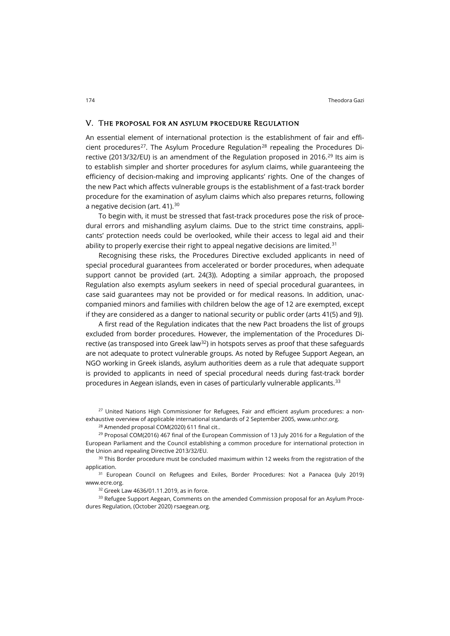#### V. The proposal for an asylum procedure Regulation

An essential element of international protection is the establishment of fair and effi-cient procedures<sup>[27](#page-7-0)</sup>. The Asylum Procedure Regulation<sup>[28](#page-7-1)</sup> repealing the Procedures Di-rective (2013/32/EU) is an amendment of the Regulation proposed in 2016.<sup>[29](#page-7-2)</sup> Its aim is to establish simpler and shorter procedures for asylum claims, while guaranteeing the efficiency of decision-making and improving applicants' rights. One of the changes of the new Pact which affects vulnerable groups is the establishment of a fast-track border procedure for the examination of asylum claims which also prepares returns, following a negative decision (art. 41).<sup>[30](#page-7-3)</sup>

To begin with, it must be stressed that fast-track procedures pose the risk of procedural errors and mishandling asylum claims. Due to the strict time constrains, applicants' protection needs could be overlooked, while their access to legal aid and their ability to properly exercise their right to appeal negative decisions are limited.<sup>[31](#page-7-4)</sup>

Recognising these risks, the Procedures Directive excluded applicants in need of special procedural guarantees from accelerated or border procedures, when adequate support cannot be provided (art. 24(3)). Adopting a similar approach, the proposed Regulation also exempts asylum seekers in need of special procedural guarantees, in case said guarantees may not be provided or for medical reasons. In addition, unaccompanied minors and families with children below the age of 12 are exempted, except if they are considered as a danger to national security or public order (arts 41(5) and 9)).

A first read of the Regulation indicates that the new Pact broadens the list of groups excluded from border procedures. However, the implementation of the Procedures Directive (as transposed into Greek  $\text{law}^{32}$ ) in hotspots serves as proof that these safeguards are not adequate to protect vulnerable groups. As noted by Refugee Support Aegean, an NGO working in Greek islands, asylum authorities deem as a rule that adequate support is provided to applicants in need of special procedural needs during fast-track border procedures in Aegean islands, even in cases of particularly vulnerable applicants. $^{\rm 33}$  $^{\rm 33}$  $^{\rm 33}$ 

<span id="page-7-0"></span><sup>27</sup> United Nations High Commissioner for Refugees, Fair and efficient asylum procedures: a nonexhaustive overview of applicable international standards of 2 September 2005, [www.unhcr.org.](https://www.unhcr.org/protection/migration/4aa76da49/refugee-protection-mixed-migration-10-point-plan-action-chapter-6-differentiated.html)

<sup>28</sup> Amended proposal COM(2020) 611 final cit..

<span id="page-7-2"></span><span id="page-7-1"></span><sup>29</sup> Proposal COM(2016) 467 final of the European Commission of 13 July 2016 for a Regulation of the European Parliament and the Council establishing a common procedure for international protection in the Union and repealing Directive 2013/32/EU.

<span id="page-7-3"></span><sup>30</sup> This Border procedure must be concluded maximum within 12 weeks from the registration of the application.

<span id="page-7-4"></span><sup>31</sup> European Council on Refugees and Exiles, Border Procedures: Not a Panacea (July 2019) [www.ecre.org.](http://www.ecre.org/wp-content/uploads/2019/07/Policy-Note-21.pdf)

<sup>32</sup> Greek Law 4636/01.11.2019, as in force.

<span id="page-7-6"></span><span id="page-7-5"></span><sup>33</sup> Refugee Support Aegean, Comments on the amended Commission proposal for an Asylum Procedures Regulation, (October 2020[\) rsaegean.org.](https://rsaegean.org/wp-content/uploads/2020/10/RSA_Comments_APR.pdf.)